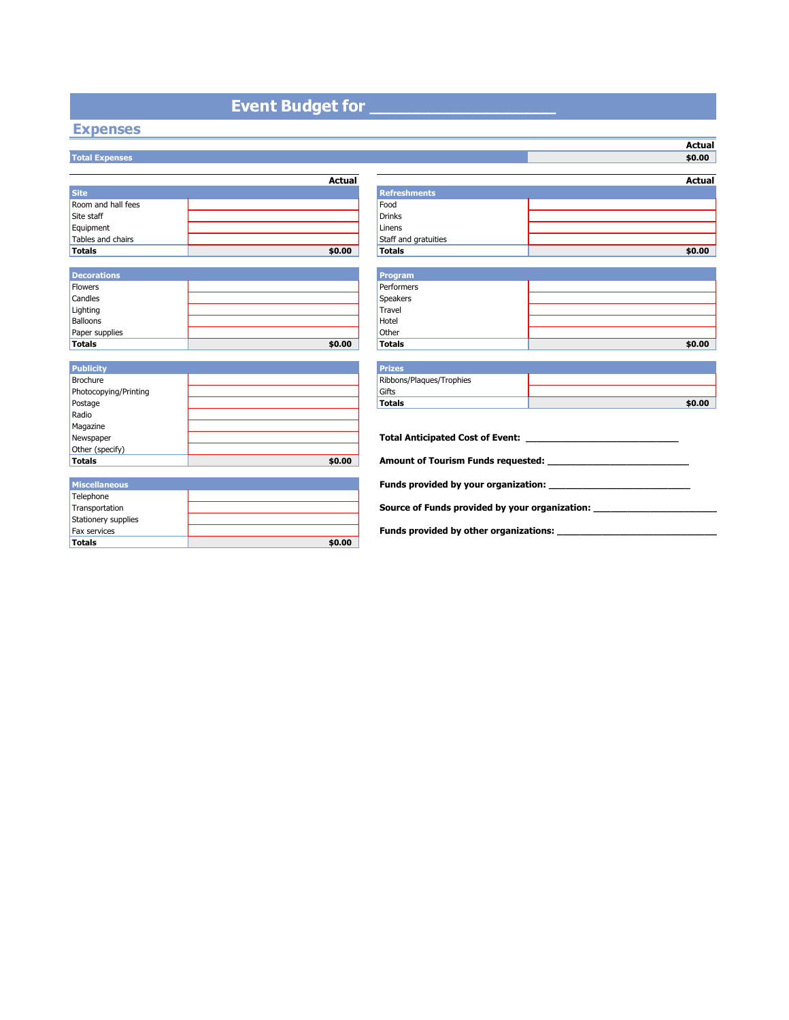## **Event Budget for**

#### **Expenses Total Expenses**

|                    | <b>Actual</b> |                      |
|--------------------|---------------|----------------------|
| <b>Site</b>        |               | <b>Refreshments</b>  |
| Room and hall fees |               | Food                 |
| Site staff         |               | <b>Drinks</b>        |
| Equipment          |               | Linens               |
| Tables and chairs  |               | Staff and gratuities |
| <b>Totals</b>      | \$0.00        | <b>Totals</b>        |

| Decorations    |        | <b>Program</b>  |
|----------------|--------|-----------------|
| <b>Flowers</b> |        | Performers      |
| Candles        |        | <b>Speakers</b> |
| Lighting       |        | Travel          |
| Balloons       |        | Hotel           |
| Paper supplies |        | Other           |
| <b>Totals</b>  | \$0.00 | <b>Totals</b>   |

| <b>Publicity</b>      |        | <b>Prizes</b>                |
|-----------------------|--------|------------------------------|
| Brochure              |        | Ribbons/Plagues/Trophies     |
| Photocopying/Printing |        | Gifts                        |
| Postage               |        | <b>Totals</b>                |
| Radio                 |        |                              |
| Magazine              |        |                              |
| Newspaper             |        | <b>Total Anticipated Co.</b> |
| Other (specify)       |        |                              |
| Totals                | \$0.00 | <b>Amount of Tourism F</b>   |

| <b>Miscellaneous</b> |        |
|----------------------|--------|
| Telephone            |        |
| Transportation       |        |
| Stationery supplies  |        |
| <b>Fax services</b>  |        |
| <b>Totals</b>        | \$0.00 |

|                       | <b>Actual</b> |                                                                                  | <b>Actual</b> |
|-----------------------|---------------|----------------------------------------------------------------------------------|---------------|
| <b>Site</b>           |               | <b>Refreshments</b>                                                              |               |
| Room and hall fees    |               | Food                                                                             |               |
| Site staff            |               | <b>Drinks</b>                                                                    |               |
| Equipment             |               | Linens                                                                           |               |
| Tables and chairs     |               | Staff and gratuities                                                             |               |
| Totals                | \$0.00        | <b>Totals</b>                                                                    | \$0.00        |
|                       |               |                                                                                  |               |
| <b>Decorations</b>    |               | <b>Program</b>                                                                   |               |
| <b>Flowers</b>        |               | Performers                                                                       |               |
| Candles               |               | <b>Speakers</b>                                                                  |               |
| Lighting              |               | Travel                                                                           |               |
| <b>Balloons</b>       |               | Hotel                                                                            |               |
| Paper supplies        |               | Other                                                                            |               |
| Totals                | \$0.00        | <b>Totals</b>                                                                    | \$0.00        |
|                       |               |                                                                                  |               |
| <b>Publicity</b>      |               | <b>Prizes</b>                                                                    |               |
| <b>Brochure</b>       |               | Ribbons/Plaques/Trophies                                                         |               |
| Photocopying/Printing |               | Gifts                                                                            |               |
| Postage               |               | <b>Totals</b>                                                                    | \$0.00        |
| Radio                 |               |                                                                                  |               |
| Magazine              |               |                                                                                  |               |
| Newspaper             |               |                                                                                  |               |
| Other (specify)       |               |                                                                                  |               |
| <b>Totals</b>         | \$0.00        |                                                                                  |               |
|                       |               |                                                                                  |               |
| <b>Miscellaneous</b>  |               |                                                                                  |               |
| Telephone             |               |                                                                                  |               |
| Transportation        |               | Source of Funds provided by your organization: _________________________________ |               |
| Stationery supplies   |               |                                                                                  |               |
| Fax services          |               | Funds provided by other organizations:                                           |               |

**Actual**<br>\$0.00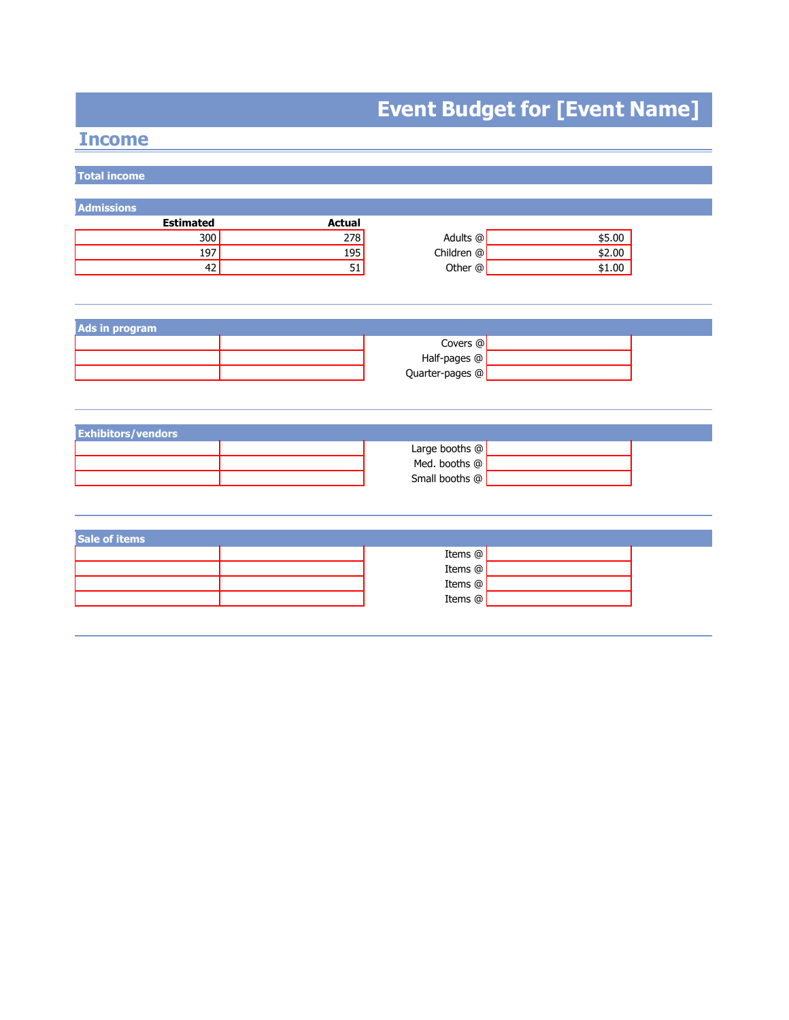# **Event Budget for [Event Name]**

## **Income**

| <b>Total income</b>       |                 |                 |        |
|---------------------------|-----------------|-----------------|--------|
|                           |                 |                 |        |
| Admissions                |                 |                 |        |
| <b>Estimated</b>          | <b>Actual</b>   |                 |        |
| 300                       | 278             | Adults @        | \$5.00 |
| 197<br>42                 | <u>195</u>      | Children @      | \$2.00 |
|                           | $\overline{51}$ | Other @         | \$1.00 |
|                           |                 |                 |        |
|                           |                 |                 |        |
| <b>Ads in program</b>     |                 |                 |        |
|                           |                 | Covers @        |        |
|                           |                 | Half-pages @    |        |
|                           |                 | Quarter-pages @ |        |
|                           |                 |                 |        |
|                           |                 |                 |        |
|                           |                 |                 |        |
| <b>Exhibitors/vendors</b> |                 |                 |        |
|                           |                 | Large booths @  |        |
|                           |                 | Med. booths @   |        |
|                           |                 | Small booths @  |        |
|                           |                 |                 |        |
|                           |                 |                 |        |
|                           |                 |                 |        |
| Sale of items             |                 |                 |        |
|                           |                 | Items @         |        |
|                           |                 | Items @         |        |
|                           |                 | Items @         |        |
|                           |                 | Items @         |        |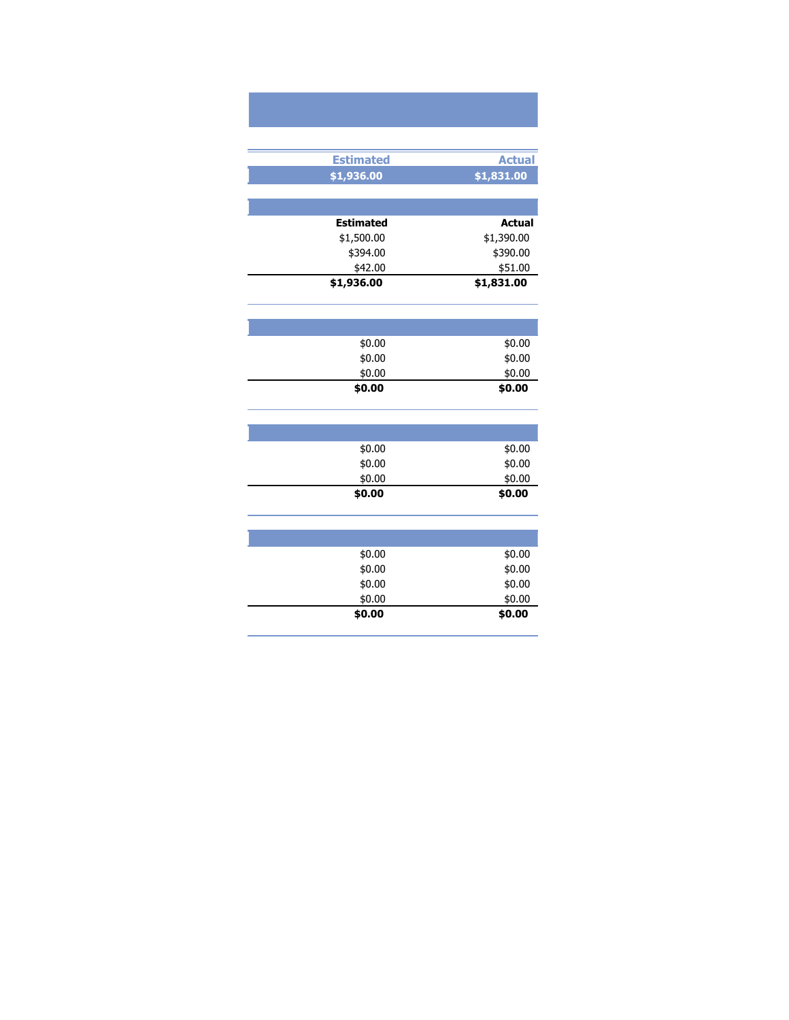| <b>Estimated</b> | <b>Actual</b> |
|------------------|---------------|
| \$1,936.00       | \$1,831.00    |
|                  |               |
|                  |               |
| <b>Estimated</b> | <b>Actual</b> |
| \$1,500.00       | \$1,390.00    |
| \$394.00         | \$390.00      |
| \$42.00          | \$51.00       |
| \$1,936.00       | \$1,831.00    |
|                  |               |
|                  |               |
|                  |               |
| \$0.00           | \$0.00        |
| \$0.00           | \$0.00        |
| \$0.00           | \$0.00        |
| \$0.00           | \$0.00        |
|                  |               |
|                  |               |
|                  |               |
| \$0.00           | \$0.00        |
| \$0.00           | \$0.00        |
| \$0.00           | \$0.00        |

| \$0.00 | \$0.00 |
|--------|--------|
|        |        |
|        |        |
| \$0.00 | \$0.00 |
| \$0.00 | \$0.00 |
| \$0.00 | \$0.00 |
| \$0.00 | \$0.00 |
| \$0.00 | \$0.00 |